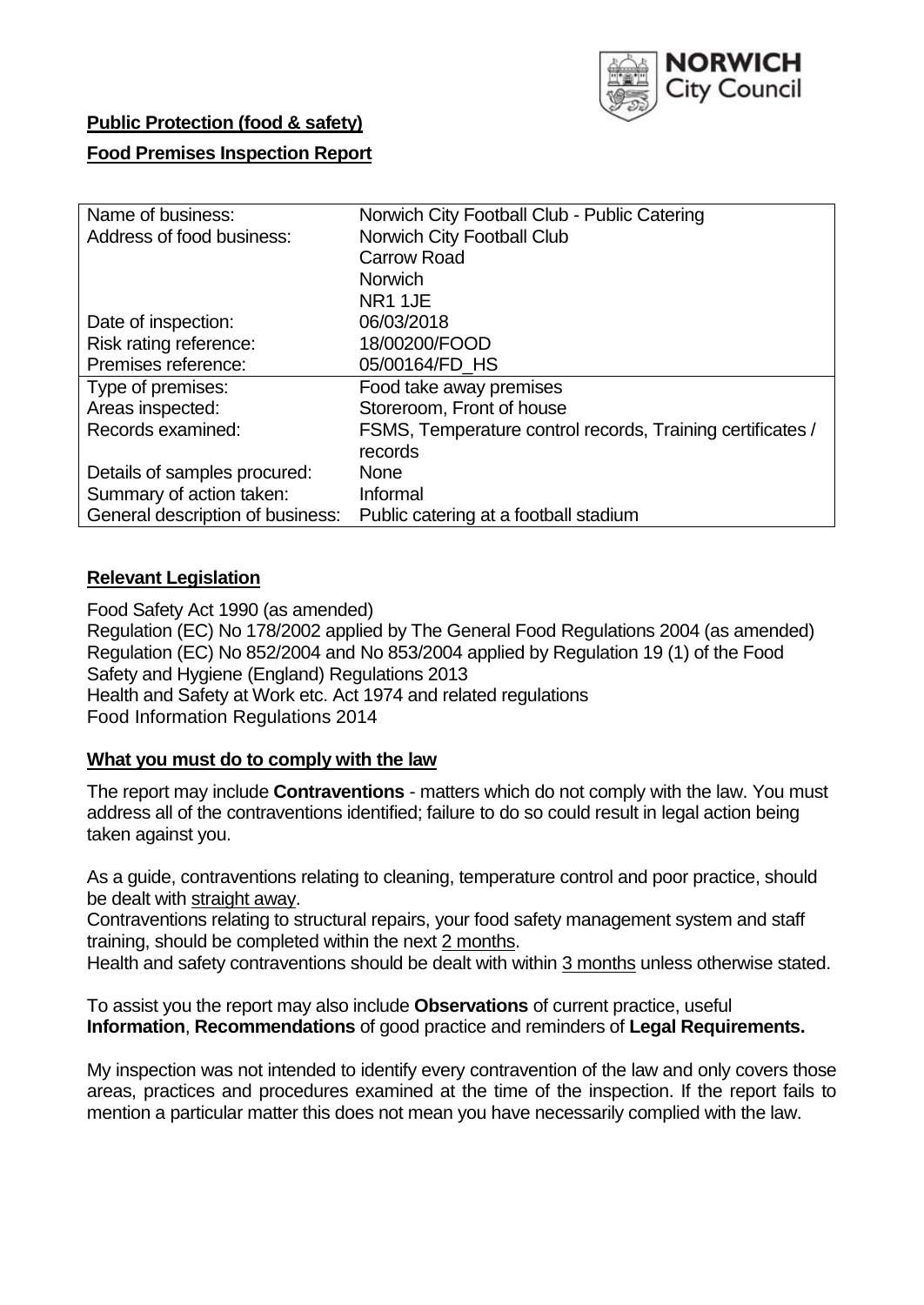

# **Public Protection (food & safety)**

## **Food Premises Inspection Report**

| Name of business:                | Norwich City Football Club - Public Catering               |  |  |  |  |
|----------------------------------|------------------------------------------------------------|--|--|--|--|
| Address of food business:        | Norwich City Football Club                                 |  |  |  |  |
|                                  | <b>Carrow Road</b>                                         |  |  |  |  |
|                                  | <b>Norwich</b>                                             |  |  |  |  |
|                                  | NR1 1JE                                                    |  |  |  |  |
| Date of inspection:              | 06/03/2018                                                 |  |  |  |  |
| Risk rating reference:           | 18/00200/FOOD                                              |  |  |  |  |
| Premises reference:              | 05/00164/FD HS                                             |  |  |  |  |
| Type of premises:                | Food take away premises                                    |  |  |  |  |
| Areas inspected:                 | Storeroom, Front of house                                  |  |  |  |  |
| Records examined:                | FSMS, Temperature control records, Training certificates / |  |  |  |  |
|                                  | records                                                    |  |  |  |  |
| Details of samples procured:     | <b>None</b>                                                |  |  |  |  |
| Summary of action taken:         | Informal                                                   |  |  |  |  |
| General description of business: | Public catering at a football stadium                      |  |  |  |  |

## **Relevant Legislation**

Food Safety Act 1990 (as amended) Regulation (EC) No 178/2002 applied by The General Food Regulations 2004 (as amended) Regulation (EC) No 852/2004 and No 853/2004 applied by Regulation 19 (1) of the Food Safety and Hygiene (England) Regulations 2013 Health and Safety at Work etc. Act 1974 and related regulations Food Information Regulations 2014

## **What you must do to comply with the law**

The report may include **Contraventions** - matters which do not comply with the law. You must address all of the contraventions identified; failure to do so could result in legal action being taken against you.

As a guide, contraventions relating to cleaning, temperature control and poor practice, should be dealt with straight away.

Contraventions relating to structural repairs, your food safety management system and staff training, should be completed within the next 2 months.

Health and safety contraventions should be dealt with within 3 months unless otherwise stated.

To assist you the report may also include **Observations** of current practice, useful **Information**, **Recommendations** of good practice and reminders of **Legal Requirements.**

My inspection was not intended to identify every contravention of the law and only covers those areas, practices and procedures examined at the time of the inspection. If the report fails to mention a particular matter this does not mean you have necessarily complied with the law.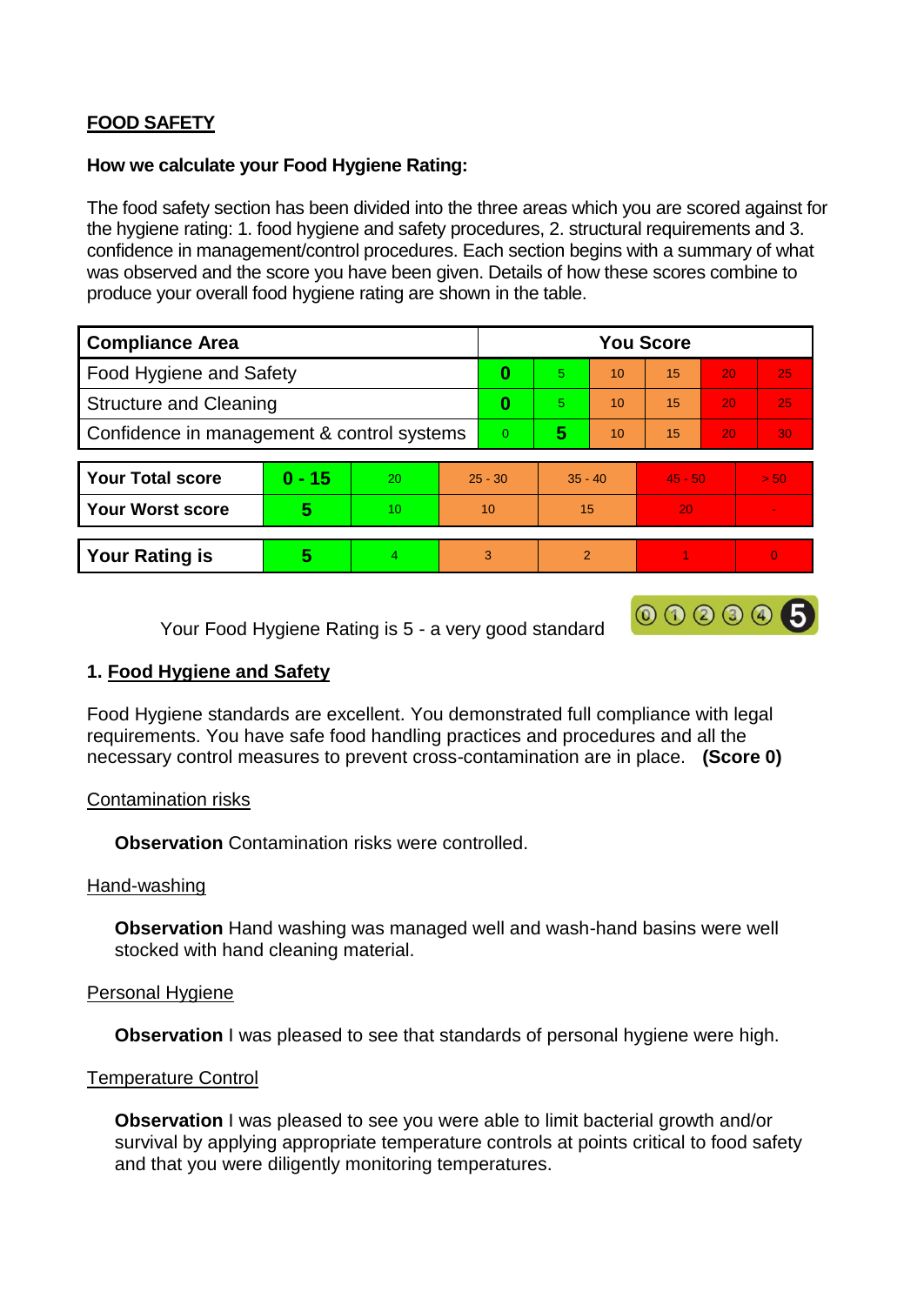# **FOOD SAFETY**

### **How we calculate your Food Hygiene Rating:**

The food safety section has been divided into the three areas which you are scored against for the hygiene rating: 1. food hygiene and safety procedures, 2. structural requirements and 3. confidence in management/control procedures. Each section begins with a summary of what was observed and the score you have been given. Details of how these scores combine to produce your overall food hygiene rating are shown in the table.

| <b>Compliance Area</b>                     |          |                  |                | <b>You Score</b> |                |    |           |    |      |  |  |
|--------------------------------------------|----------|------------------|----------------|------------------|----------------|----|-----------|----|------|--|--|
| Food Hygiene and Safety                    |          |                  |                | 0                | 5              | 10 | 15        | 20 | 25   |  |  |
| <b>Structure and Cleaning</b>              |          |                  | 0              | 5                | 10             | 15 | 20        | 25 |      |  |  |
| Confidence in management & control systems |          |                  | $\overline{0}$ | 5                | 10             | 15 | 20        | 30 |      |  |  |
|                                            |          |                  |                |                  |                |    |           |    |      |  |  |
| <b>Your Total score</b>                    | $0 - 15$ | 20               | $25 - 30$      |                  | $35 - 40$      |    | $45 - 50$ |    | > 50 |  |  |
| <b>Your Worst score</b>                    | 5        | 10 <sup>10</sup> | 10             |                  | 15             |    | 20        |    |      |  |  |
|                                            |          |                  |                |                  |                |    |           |    |      |  |  |
| <b>Your Rating is</b>                      | 5        | $\overline{4}$   | 3              |                  | $\overline{2}$ |    |           |    | 0    |  |  |

000005

Your Food Hygiene Rating is 5 - a very good standard

## **1. Food Hygiene and Safety**

Food Hygiene standards are excellent. You demonstrated full compliance with legal requirements. You have safe food handling practices and procedures and all the necessary control measures to prevent cross-contamination are in place. **(Score 0)**

## Contamination risks

**Observation** Contamination risks were controlled.

#### Hand-washing

**Observation** Hand washing was managed well and wash-hand basins were well stocked with hand cleaning material.

## Personal Hygiene

**Observation** I was pleased to see that standards of personal hygiene were high.

## Temperature Control

**Observation** I was pleased to see you were able to limit bacterial growth and/or survival by applying appropriate temperature controls at points critical to food safety and that you were diligently monitoring temperatures.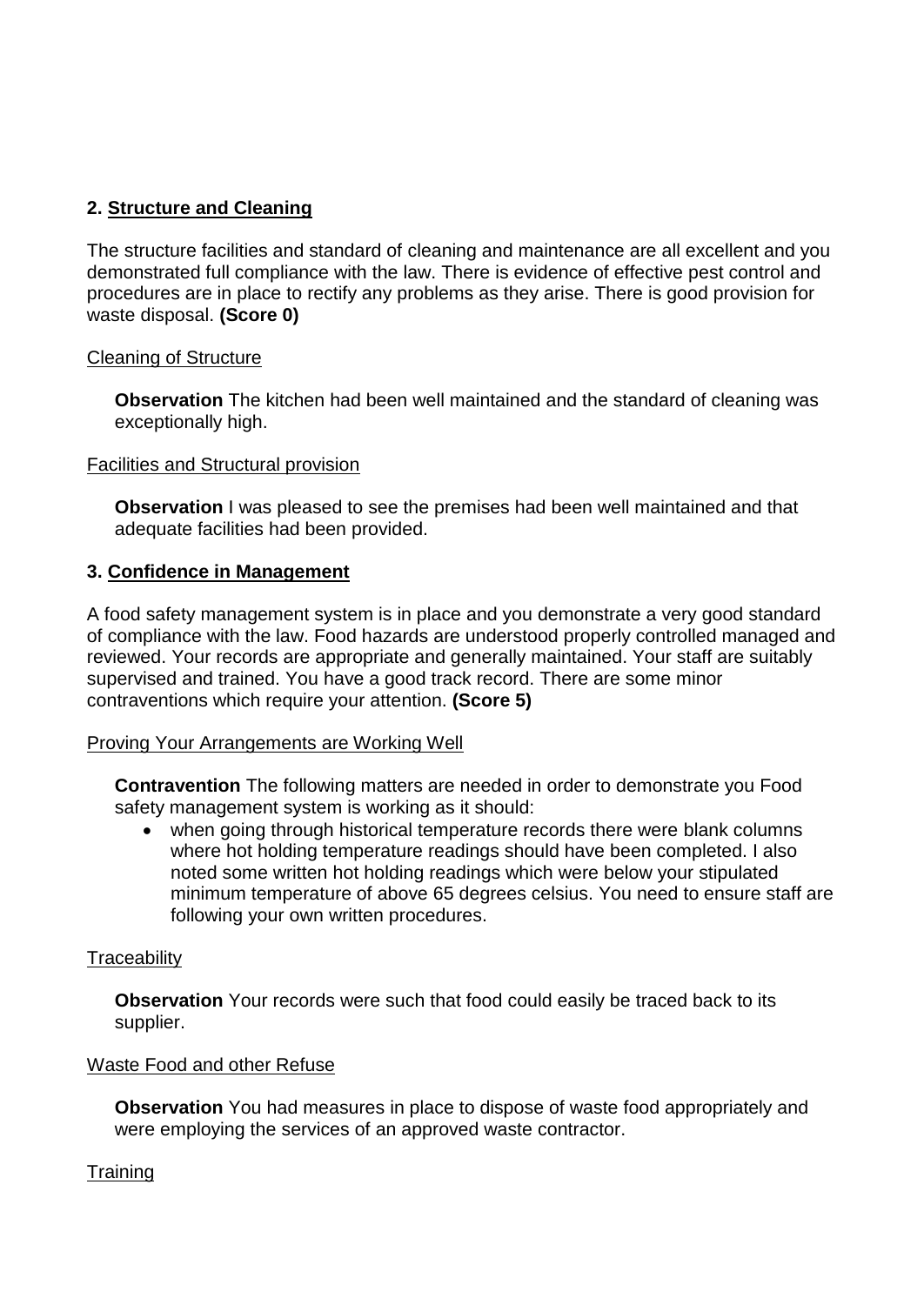## **2. Structure and Cleaning**

The structure facilities and standard of cleaning and maintenance are all excellent and you demonstrated full compliance with the law. There is evidence of effective pest control and procedures are in place to rectify any problems as they arise. There is good provision for waste disposal. **(Score 0)**

## Cleaning of Structure

**Observation** The kitchen had been well maintained and the standard of cleaning was exceptionally high.

### Facilities and Structural provision

**Observation** I was pleased to see the premises had been well maintained and that adequate facilities had been provided.

## **3. Confidence in Management**

A food safety management system is in place and you demonstrate a very good standard of compliance with the law. Food hazards are understood properly controlled managed and reviewed. Your records are appropriate and generally maintained. Your staff are suitably supervised and trained. You have a good track record. There are some minor contraventions which require your attention. **(Score 5)**

#### Proving Your Arrangements are Working Well

**Contravention** The following matters are needed in order to demonstrate you Food safety management system is working as it should:

 when going through historical temperature records there were blank columns where hot holding temperature readings should have been completed. I also noted some written hot holding readings which were below your stipulated minimum temperature of above 65 degrees celsius. You need to ensure staff are following your own written procedures.

## **Traceability**

**Observation** Your records were such that food could easily be traced back to its supplier.

## Waste Food and other Refuse

**Observation** You had measures in place to dispose of waste food appropriately and were employing the services of an approved waste contractor.

## **Training**